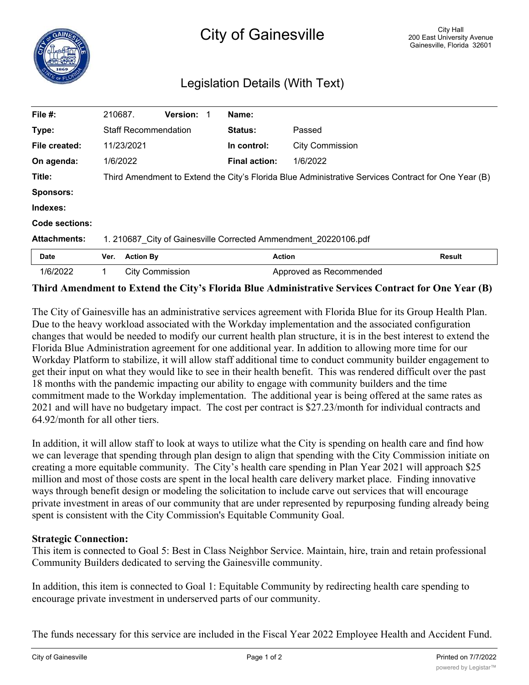## Legislation Details (With Text)

| File #:               | 210687.                                                                                             |                        | <b>Version:</b> |  | Name:                |                         |        |
|-----------------------|-----------------------------------------------------------------------------------------------------|------------------------|-----------------|--|----------------------|-------------------------|--------|
| Type:                 | <b>Staff Recommendation</b>                                                                         |                        |                 |  | <b>Status:</b>       | Passed                  |        |
| File created:         | 11/23/2021                                                                                          |                        |                 |  | In control:          | <b>City Commission</b>  |        |
| On agenda:            | 1/6/2022                                                                                            |                        |                 |  | <b>Final action:</b> | 1/6/2022                |        |
| Title:                | Third Amendment to Extend the City's Florida Blue Administrative Services Contract for One Year (B) |                        |                 |  |                      |                         |        |
| <b>Sponsors:</b>      |                                                                                                     |                        |                 |  |                      |                         |        |
| Indexes:              |                                                                                                     |                        |                 |  |                      |                         |        |
| <b>Code sections:</b> |                                                                                                     |                        |                 |  |                      |                         |        |
| <b>Attachments:</b>   | 1. 210687 City of Gainesville Corrected Ammendment 20220106.pdf                                     |                        |                 |  |                      |                         |        |
| <b>Date</b>           | Ver.                                                                                                | <b>Action By</b>       |                 |  |                      | <b>Action</b>           | Result |
| 1/6/2022              | 1.                                                                                                  | <b>City Commission</b> |                 |  |                      | Approved as Recommended |        |

## **Third Amendment to Extend the City's Florida Blue Administrative Services Contract for One Year (B)**

The City of Gainesville has an administrative services agreement with Florida Blue for its Group Health Plan. Due to the heavy workload associated with the Workday implementation and the associated configuration changes that would be needed to modify our current health plan structure, it is in the best interest to extend the Florida Blue Administration agreement for one additional year. In addition to allowing more time for our Workday Platform to stabilize, it will allow staff additional time to conduct community builder engagement to get their input on what they would like to see in their health benefit. This was rendered difficult over the past 18 months with the pandemic impacting our ability to engage with community builders and the time commitment made to the Workday implementation. The additional year is being offered at the same rates as 2021 and will have no budgetary impact. The cost per contract is \$27.23/month for individual contracts and 64.92/month for all other tiers.

In addition, it will allow staff to look at ways to utilize what the City is spending on health care and find how we can leverage that spending through plan design to align that spending with the City Commission initiate on creating a more equitable community. The City's health care spending in Plan Year 2021 will approach \$25 million and most of those costs are spent in the local health care delivery market place. Finding innovative ways through benefit design or modeling the solicitation to include carve out services that will encourage private investment in areas of our community that are under represented by repurposing funding already being spent is consistent with the City Commission's Equitable Community Goal.

## **Strategic Connection:**

This item is connected to Goal 5: Best in Class Neighbor Service. Maintain, hire, train and retain professional Community Builders dedicated to serving the Gainesville community.

In addition, this item is connected to Goal 1: Equitable Community by redirecting health care spending to encourage private investment in underserved parts of our community.

The funds necessary for this service are included in the Fiscal Year 2022 Employee Health and Accident Fund.